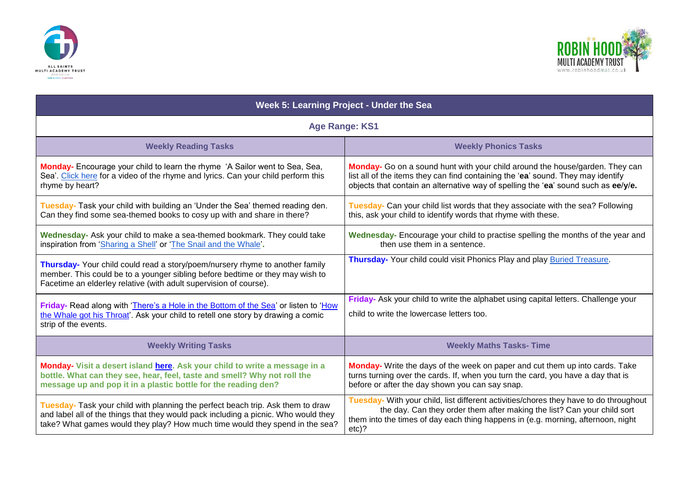



| Week 5: Learning Project - Under the Sea                                                                                                                                                                                                               |                                                                                                                                                                                                                                                                 |
|--------------------------------------------------------------------------------------------------------------------------------------------------------------------------------------------------------------------------------------------------------|-----------------------------------------------------------------------------------------------------------------------------------------------------------------------------------------------------------------------------------------------------------------|
| <b>Age Range: KS1</b>                                                                                                                                                                                                                                  |                                                                                                                                                                                                                                                                 |
| <b>Weekly Reading Tasks</b>                                                                                                                                                                                                                            | <b>Weekly Phonics Tasks</b>                                                                                                                                                                                                                                     |
| Monday- Encourage your child to learn the rhyme 'A Sailor went to Sea, Sea,<br>Sea'. Click here for a video of the rhyme and lyrics. Can your child perform this<br>rhyme by heart?                                                                    | Monday- Go on a sound hunt with your child around the house/garden. They can<br>list all of the items they can find containing the 'ea' sound. They may identify<br>objects that contain an alternative way of spelling the 'ea' sound such as ee/y/e.          |
| Tuesday- Task your child with building an 'Under the Sea' themed reading den.<br>Can they find some sea-themed books to cosy up with and share in there?                                                                                               | Tuesday- Can your child list words that they associate with the sea? Following<br>this, ask your child to identify words that rhyme with these.                                                                                                                 |
| Wednesday- Ask your child to make a sea-themed bookmark. They could take<br>inspiration from 'Sharing a Shell' or 'The Snail and the Whale'.                                                                                                           | Wednesday- Encourage your child to practise spelling the months of the year and<br>then use them in a sentence.                                                                                                                                                 |
| Thursday- Your child could read a story/poem/nursery rhyme to another family<br>member. This could be to a younger sibling before bedtime or they may wish to<br>Facetime an elderley relative (with adult supervision of course).                     | Thursday- Your child could visit Phonics Play and play Buried Treasure.                                                                                                                                                                                         |
| Friday- Read along with 'There's a Hole in the Bottom of the Sea' or listen to 'How<br>the Whale got his Throat'. Ask your child to retell one story by drawing a comic<br>strip of the events.                                                        | Friday- Ask your child to write the alphabet using capital letters. Challenge your<br>child to write the lowercase letters too.                                                                                                                                 |
| <b>Weekly Writing Tasks</b>                                                                                                                                                                                                                            | <b>Weekly Maths Tasks- Time</b>                                                                                                                                                                                                                                 |
| Monday- Visit a desert island here. Ask your child to write a message in a<br>bottle. What can they see, hear, feel, taste and smell? Why not roll the<br>message up and pop it in a plastic bottle for the reading den?                               | Monday- Write the days of the week on paper and cut them up into cards. Take<br>turns turning over the cards. If, when you turn the card, you have a day that is<br>before or after the day shown you can say snap.                                             |
| Tuesday- Task your child with planning the perfect beach trip. Ask them to draw<br>and label all of the things that they would pack including a picnic. Who would they<br>take? What games would they play? How much time would they spend in the sea? | Tuesday- With your child, list different activities/chores they have to do throughout<br>the day. Can they order them after making the list? Can your child sort<br>them into the times of day each thing happens in (e.g. morning, afternoon, night<br>$etc$ ? |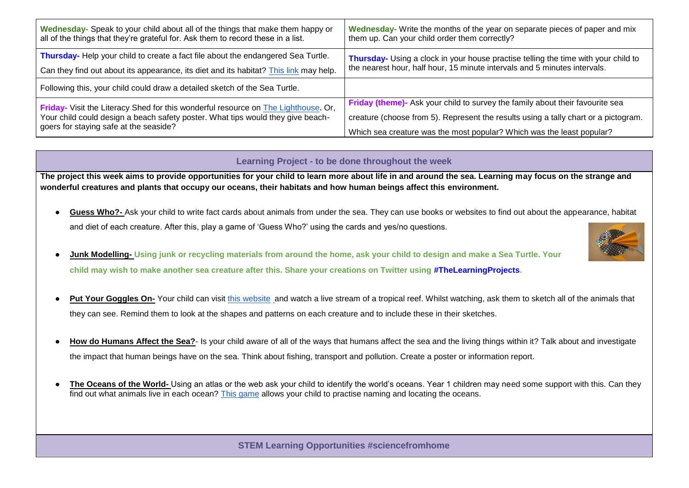| Wednesday- Speak to your child about all of the things that make them happy or<br>all of the things that they're grateful for. Ask them to record these in a list.                                              | Wednesday- Write the months of the year on separate pieces of paper and mix<br>them up. Can your child order them correctly? |
|-----------------------------------------------------------------------------------------------------------------------------------------------------------------------------------------------------------------|------------------------------------------------------------------------------------------------------------------------------|
| Thursday- Help your child to create a fact file about the endangered Sea Turtle.                                                                                                                                | Thursday- Using a clock in your house practise telling the time with your child to                                           |
| Can they find out about its appearance, its diet and its habitat? This link may help.                                                                                                                           | the nearest hour, half hour, 15 minute intervals and 5 minutes intervals.                                                    |
| Following this, your child could draw a detailed sketch of the Sea Turtle.                                                                                                                                      |                                                                                                                              |
| Friday- Visit the Literacy Shed for this wonderful resource on The Lighthouse. Or,<br>Your child could design a beach safety poster. What tips would they give beach-<br>goers for staying safe at the seaside? | Friday (theme)- Ask your child to survey the family about their favourite sea                                                |
|                                                                                                                                                                                                                 | creature (choose from 5). Represent the results using a tally chart or a pictogram.                                          |
|                                                                                                                                                                                                                 | Which sea creature was the most popular? Which was the least popular?                                                        |

## **Learning Project - to be done throughout the week**

**The project this week aims to provide opportunities for your child to learn more about life in and around the sea. Learning may focus on the strange and wonderful creatures and plants that occupy our oceans, their habitats and how human beings affect this environment.** 

- Guess Who?- Ask your child to write fact cards about animals from under the sea. They can use books or websites to find out about the appearance, habitat and diet of each creature. After this, play a game of 'Guess Who?' using the cards and yes/no questions.
- **Junk Modelling-** Using junk or recycling materials from around the home, ask your child to design and make a Sea Turtle. Your **child may wish to make another sea creature after this. Share your creations on Twitter using #TheLearningProjects.**
- Put Your Goggles On-Your child can visit [this website](https://explore.org/livecams/under-the-water/pacific-aquarium-tropical-reef-camera) and watch a live stream of a tropical reef. Whilst watching, ask them to sketch all of the animals that they can see. Remind them to look at the shapes and patterns on each creature and to include these in their sketches.
- How do Humans Affect the Sea?- Is your child aware of all of the ways that humans affect the sea and the living things within it? Talk about and investigate the impact that human beings have on the sea. Think about fishing, transport and pollution. Create a poster or information report.
- The Oceans of the World- Using an atlas or the web ask your child to identify the world's oceans. Year 1 children may need some support with this. Can thev find out what animals live in each ocean? [This game](http://www.sheppardsoftware.com/World_Continents.htm) allows your child to practise naming and locating the oceans.